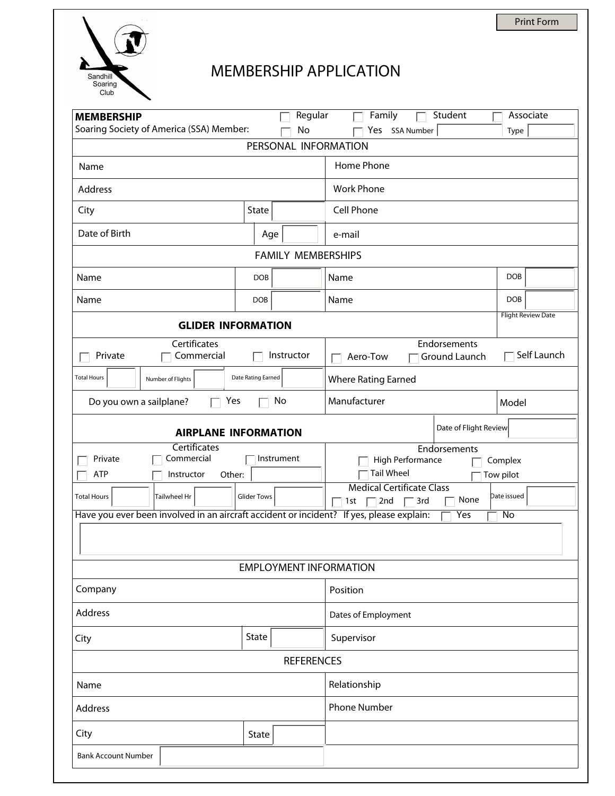

## MEMBERSHIP APPLICATION

| Soaring Society of America (SSA) Member:<br>No<br>Yes SSA Number<br>Type<br>PERSONAL INFORMATION<br>Home Phone<br><b>Work Phone</b><br>Cell Phone<br>State<br>$\blacktriangledown$<br>Age<br>e-mail<br><b>FAMILY MEMBERSHIPS</b><br><b>DOB</b><br>Name<br><b>DOB</b><br><b>DOB</b><br><b>DOB</b><br>Name<br><b>Flight Review Date</b><br><b>GLIDER INFORMATION</b><br>Certificates<br>Endorsements<br>Self Launch<br>Instructor<br>Commercial<br>Private<br>Ground Launch<br>Aero-Tow<br>Date Rating Earned<br><b>Where Rating Earned</b><br>Number of Flights<br>Manufacturer<br>No<br>Do you own a sailplane?<br>Yes<br>Model<br>Date of Flight Review<br><b>AIRPLANE INFORMATION</b><br>Certificates<br>Endorsements<br>Commercial<br>Instrument<br>Private<br>High Performance<br>Complex<br><b>Tail Wheel</b><br><b>ATP</b><br>Instructor<br>Other:<br>Tow pilot<br><b>Medical Certificate Class</b><br>Date issued<br><b>Glider Tows</b><br><b>Total Hours</b><br><b>Tailwheel Hr</b><br>None<br>2nd<br>3rd<br>1st<br>Have you ever been involved in an aircraft accident or incident? If yes, please explain:<br>Yes<br>No<br><b>EMPLOYMENT INFORMATION</b><br>Position<br>Dates of Employment<br>$\left  \mathbf{v} \right $<br>State<br>Supervisor<br><b>REFERENCES</b><br>Relationship<br><b>Phone Number</b><br>State<br>$\overline{\phantom{a}}$ | <b>MEMBERSHIP</b>          | Regular | Family<br>Student | Associate |  |  |  |
|--------------------------------------------------------------------------------------------------------------------------------------------------------------------------------------------------------------------------------------------------------------------------------------------------------------------------------------------------------------------------------------------------------------------------------------------------------------------------------------------------------------------------------------------------------------------------------------------------------------------------------------------------------------------------------------------------------------------------------------------------------------------------------------------------------------------------------------------------------------------------------------------------------------------------------------------------------------------------------------------------------------------------------------------------------------------------------------------------------------------------------------------------------------------------------------------------------------------------------------------------------------------------------------------------------------------------------------------------------------|----------------------------|---------|-------------------|-----------|--|--|--|
|                                                                                                                                                                                                                                                                                                                                                                                                                                                                                                                                                                                                                                                                                                                                                                                                                                                                                                                                                                                                                                                                                                                                                                                                                                                                                                                                                              |                            |         |                   |           |  |  |  |
|                                                                                                                                                                                                                                                                                                                                                                                                                                                                                                                                                                                                                                                                                                                                                                                                                                                                                                                                                                                                                                                                                                                                                                                                                                                                                                                                                              |                            |         |                   |           |  |  |  |
|                                                                                                                                                                                                                                                                                                                                                                                                                                                                                                                                                                                                                                                                                                                                                                                                                                                                                                                                                                                                                                                                                                                                                                                                                                                                                                                                                              | Name                       |         |                   |           |  |  |  |
|                                                                                                                                                                                                                                                                                                                                                                                                                                                                                                                                                                                                                                                                                                                                                                                                                                                                                                                                                                                                                                                                                                                                                                                                                                                                                                                                                              | Address                    |         |                   |           |  |  |  |
|                                                                                                                                                                                                                                                                                                                                                                                                                                                                                                                                                                                                                                                                                                                                                                                                                                                                                                                                                                                                                                                                                                                                                                                                                                                                                                                                                              | City                       |         |                   |           |  |  |  |
|                                                                                                                                                                                                                                                                                                                                                                                                                                                                                                                                                                                                                                                                                                                                                                                                                                                                                                                                                                                                                                                                                                                                                                                                                                                                                                                                                              | Date of Birth              |         |                   |           |  |  |  |
|                                                                                                                                                                                                                                                                                                                                                                                                                                                                                                                                                                                                                                                                                                                                                                                                                                                                                                                                                                                                                                                                                                                                                                                                                                                                                                                                                              |                            |         |                   |           |  |  |  |
|                                                                                                                                                                                                                                                                                                                                                                                                                                                                                                                                                                                                                                                                                                                                                                                                                                                                                                                                                                                                                                                                                                                                                                                                                                                                                                                                                              | Name                       |         |                   |           |  |  |  |
|                                                                                                                                                                                                                                                                                                                                                                                                                                                                                                                                                                                                                                                                                                                                                                                                                                                                                                                                                                                                                                                                                                                                                                                                                                                                                                                                                              | Name                       |         |                   |           |  |  |  |
|                                                                                                                                                                                                                                                                                                                                                                                                                                                                                                                                                                                                                                                                                                                                                                                                                                                                                                                                                                                                                                                                                                                                                                                                                                                                                                                                                              |                            |         |                   |           |  |  |  |
|                                                                                                                                                                                                                                                                                                                                                                                                                                                                                                                                                                                                                                                                                                                                                                                                                                                                                                                                                                                                                                                                                                                                                                                                                                                                                                                                                              |                            |         |                   |           |  |  |  |
|                                                                                                                                                                                                                                                                                                                                                                                                                                                                                                                                                                                                                                                                                                                                                                                                                                                                                                                                                                                                                                                                                                                                                                                                                                                                                                                                                              |                            |         |                   |           |  |  |  |
|                                                                                                                                                                                                                                                                                                                                                                                                                                                                                                                                                                                                                                                                                                                                                                                                                                                                                                                                                                                                                                                                                                                                                                                                                                                                                                                                                              | <b>Total Hours</b>         |         |                   |           |  |  |  |
|                                                                                                                                                                                                                                                                                                                                                                                                                                                                                                                                                                                                                                                                                                                                                                                                                                                                                                                                                                                                                                                                                                                                                                                                                                                                                                                                                              |                            |         |                   |           |  |  |  |
|                                                                                                                                                                                                                                                                                                                                                                                                                                                                                                                                                                                                                                                                                                                                                                                                                                                                                                                                                                                                                                                                                                                                                                                                                                                                                                                                                              |                            |         |                   |           |  |  |  |
|                                                                                                                                                                                                                                                                                                                                                                                                                                                                                                                                                                                                                                                                                                                                                                                                                                                                                                                                                                                                                                                                                                                                                                                                                                                                                                                                                              |                            |         |                   |           |  |  |  |
|                                                                                                                                                                                                                                                                                                                                                                                                                                                                                                                                                                                                                                                                                                                                                                                                                                                                                                                                                                                                                                                                                                                                                                                                                                                                                                                                                              |                            |         |                   |           |  |  |  |
|                                                                                                                                                                                                                                                                                                                                                                                                                                                                                                                                                                                                                                                                                                                                                                                                                                                                                                                                                                                                                                                                                                                                                                                                                                                                                                                                                              |                            |         |                   |           |  |  |  |
|                                                                                                                                                                                                                                                                                                                                                                                                                                                                                                                                                                                                                                                                                                                                                                                                                                                                                                                                                                                                                                                                                                                                                                                                                                                                                                                                                              |                            |         |                   |           |  |  |  |
|                                                                                                                                                                                                                                                                                                                                                                                                                                                                                                                                                                                                                                                                                                                                                                                                                                                                                                                                                                                                                                                                                                                                                                                                                                                                                                                                                              |                            |         |                   |           |  |  |  |
|                                                                                                                                                                                                                                                                                                                                                                                                                                                                                                                                                                                                                                                                                                                                                                                                                                                                                                                                                                                                                                                                                                                                                                                                                                                                                                                                                              |                            |         |                   |           |  |  |  |
|                                                                                                                                                                                                                                                                                                                                                                                                                                                                                                                                                                                                                                                                                                                                                                                                                                                                                                                                                                                                                                                                                                                                                                                                                                                                                                                                                              |                            |         |                   |           |  |  |  |
|                                                                                                                                                                                                                                                                                                                                                                                                                                                                                                                                                                                                                                                                                                                                                                                                                                                                                                                                                                                                                                                                                                                                                                                                                                                                                                                                                              | Company                    |         |                   |           |  |  |  |
|                                                                                                                                                                                                                                                                                                                                                                                                                                                                                                                                                                                                                                                                                                                                                                                                                                                                                                                                                                                                                                                                                                                                                                                                                                                                                                                                                              | Address                    |         |                   |           |  |  |  |
|                                                                                                                                                                                                                                                                                                                                                                                                                                                                                                                                                                                                                                                                                                                                                                                                                                                                                                                                                                                                                                                                                                                                                                                                                                                                                                                                                              | City                       |         |                   |           |  |  |  |
|                                                                                                                                                                                                                                                                                                                                                                                                                                                                                                                                                                                                                                                                                                                                                                                                                                                                                                                                                                                                                                                                                                                                                                                                                                                                                                                                                              |                            |         |                   |           |  |  |  |
|                                                                                                                                                                                                                                                                                                                                                                                                                                                                                                                                                                                                                                                                                                                                                                                                                                                                                                                                                                                                                                                                                                                                                                                                                                                                                                                                                              | Name                       |         |                   |           |  |  |  |
|                                                                                                                                                                                                                                                                                                                                                                                                                                                                                                                                                                                                                                                                                                                                                                                                                                                                                                                                                                                                                                                                                                                                                                                                                                                                                                                                                              | Address                    |         |                   |           |  |  |  |
|                                                                                                                                                                                                                                                                                                                                                                                                                                                                                                                                                                                                                                                                                                                                                                                                                                                                                                                                                                                                                                                                                                                                                                                                                                                                                                                                                              | City                       |         |                   |           |  |  |  |
|                                                                                                                                                                                                                                                                                                                                                                                                                                                                                                                                                                                                                                                                                                                                                                                                                                                                                                                                                                                                                                                                                                                                                                                                                                                                                                                                                              | <b>Bank Account Number</b> |         |                   |           |  |  |  |

Print Form